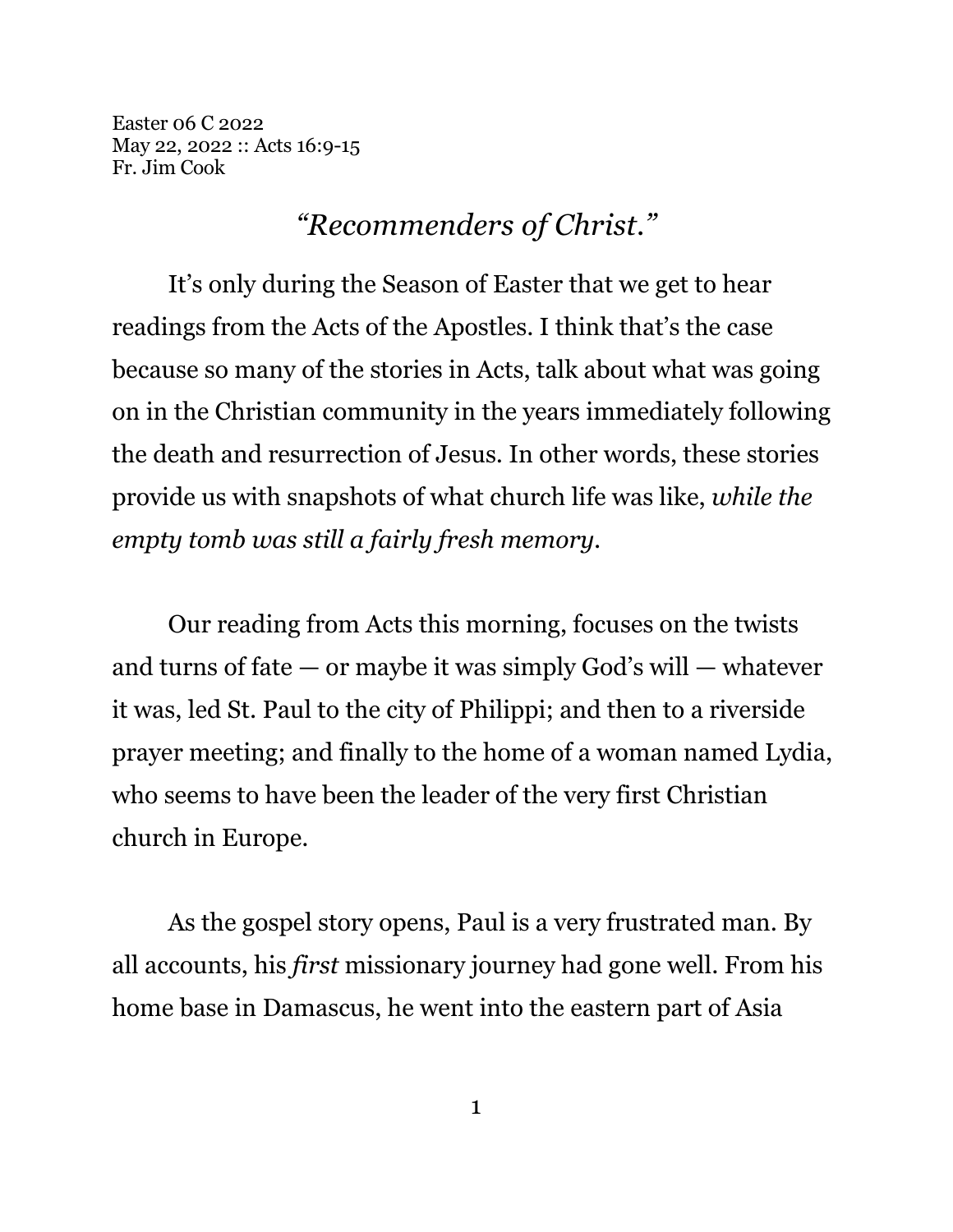Easter 06 C 2022 May 22, 2022 :: Acts 16:9-15 Fr. Jim Cook

## *"Recommenders of Christ."*

It's only during the Season of Easter that we get to hear readings from the Acts of the Apostles. I think that's the case because so many of the stories in Acts, talk about what was going on in the Christian community in the years immediately following the death and resurrection of Jesus. In other words, these stories provide us with snapshots of what church life was like, *while the empty tomb was still a fairly fresh memory*.

Our reading from Acts this morning, focuses on the twists and turns of fate  $-$  or maybe it was simply God's will  $-$  whatever it was, led St. Paul to the city of Philippi; and then to a riverside prayer meeting; and finally to the home of a woman named Lydia, who seems to have been the leader of the very first Christian church in Europe.

As the gospel story opens, Paul is a very frustrated man. By all accounts, his *first* missionary journey had gone well. From his home base in Damascus, he went into the eastern part of Asia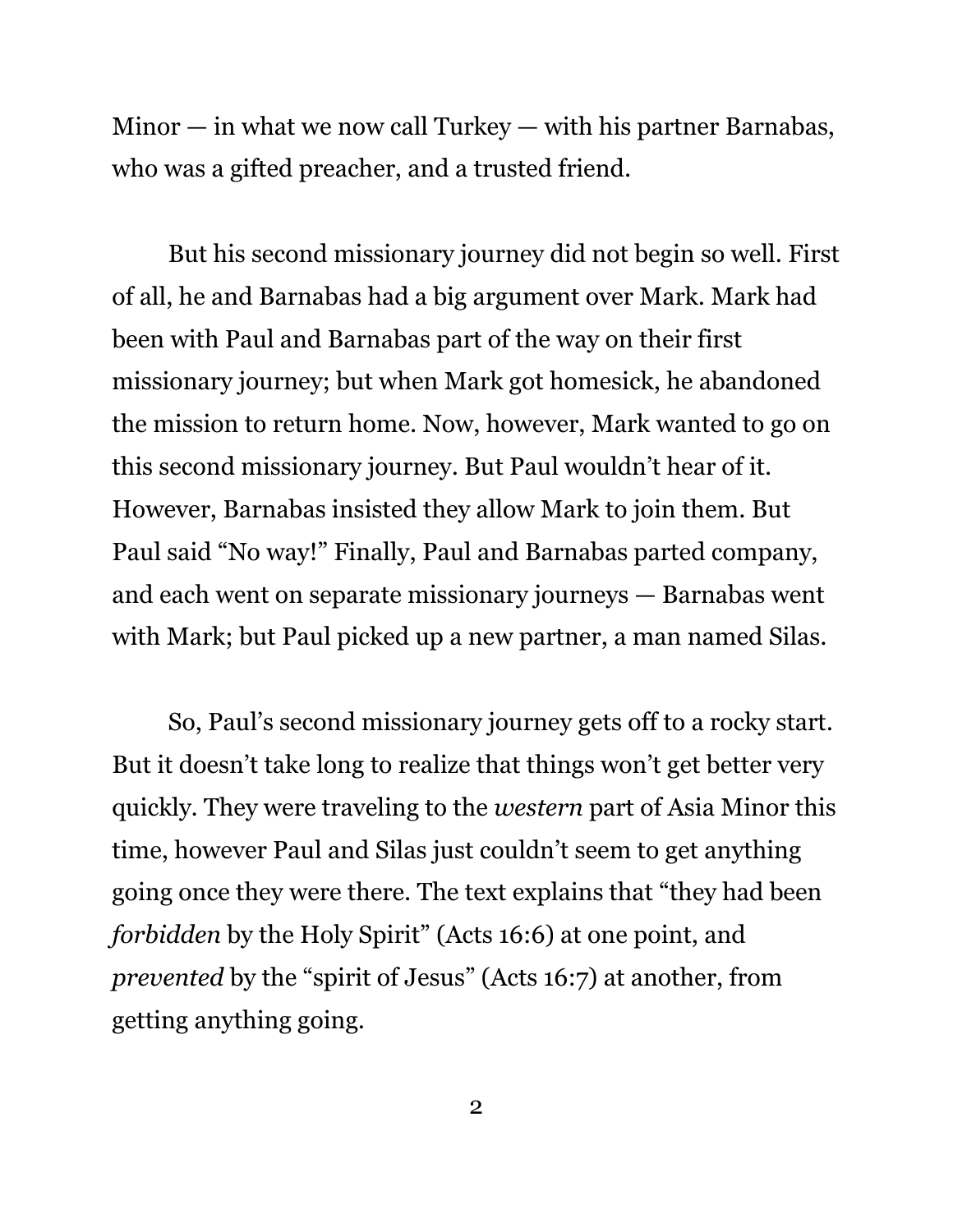$Minor - in$  what we now call Turkey  $-$  with his partner Barnabas, who was a gifted preacher, and a trusted friend.

But his second missionary journey did not begin so well. First of all, he and Barnabas had a big argument over Mark. Mark had been with Paul and Barnabas part of the way on their first missionary journey; but when Mark got homesick, he abandoned the mission to return home. Now, however, Mark wanted to go on this second missionary journey. But Paul wouldn't hear of it. However, Barnabas insisted they allow Mark to join them. But Paul said "No way!" Finally, Paul and Barnabas parted company, and each went on separate missionary journeys — Barnabas went with Mark; but Paul picked up a new partner, a man named Silas.

So, Paul's second missionary journey gets off to a rocky start. But it doesn't take long to realize that things won't get better very quickly. They were traveling to the *western* part of Asia Minor this time, however Paul and Silas just couldn't seem to get anything going once they were there. The text explains that "they had been *forbidden* by the Holy Spirit" (Acts 16:6) at one point, and *prevented* by the "spirit of Jesus" (Acts 16:7) at another, from getting anything going.

2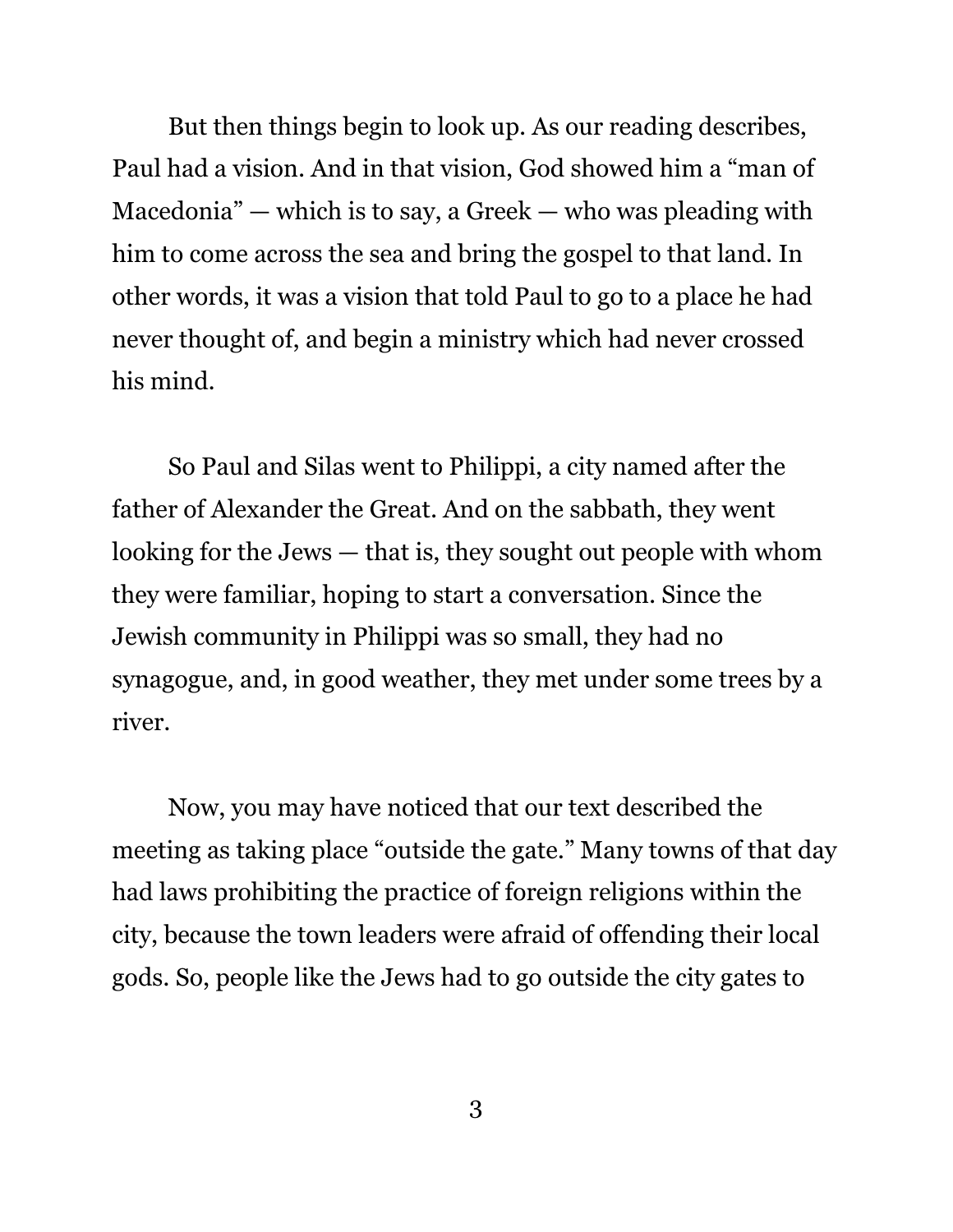But then things begin to look up. As our reading describes, Paul had a vision. And in that vision, God showed him a "man of Macedonia" — which is to say, a Greek — who was pleading with him to come across the sea and bring the gospel to that land. In other words, it was a vision that told Paul to go to a place he had never thought of, and begin a ministry which had never crossed his mind.

So Paul and Silas went to Philippi, a city named after the father of Alexander the Great. And on the sabbath, they went looking for the Jews — that is, they sought out people with whom they were familiar, hoping to start a conversation. Since the Jewish community in Philippi was so small, they had no synagogue, and, in good weather, they met under some trees by a river.

Now, you may have noticed that our text described the meeting as taking place "outside the gate." Many towns of that day had laws prohibiting the practice of foreign religions within the city, because the town leaders were afraid of offending their local gods. So, people like the Jews had to go outside the city gates to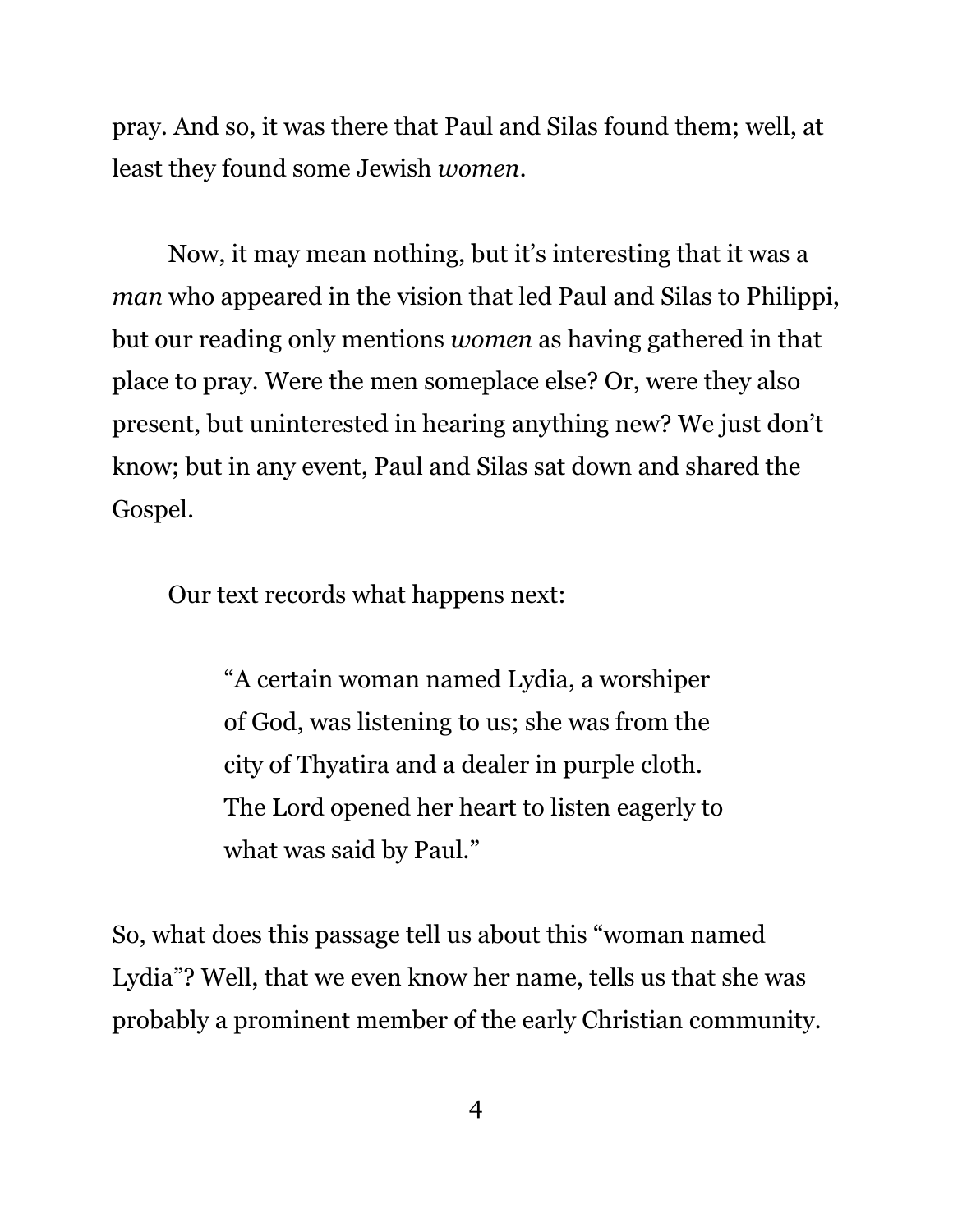pray. And so, it was there that Paul and Silas found them; well, at least they found some Jewish *women*.

Now, it may mean nothing, but it's interesting that it was a *man* who appeared in the vision that led Paul and Silas to Philippi, but our reading only mentions *women* as having gathered in that place to pray. Were the men someplace else? Or, were they also present, but uninterested in hearing anything new? We just don't know; but in any event, Paul and Silas sat down and shared the Gospel.

Our text records what happens next:

"A certain woman named Lydia, a worshiper of God, was listening to us; she was from the city of Thyatira and a dealer in purple cloth. The Lord opened her heart to listen eagerly to what was said by Paul."

So, what does this passage tell us about this "woman named Lydia"? Well, that we even know her name, tells us that she was probably a prominent member of the early Christian community.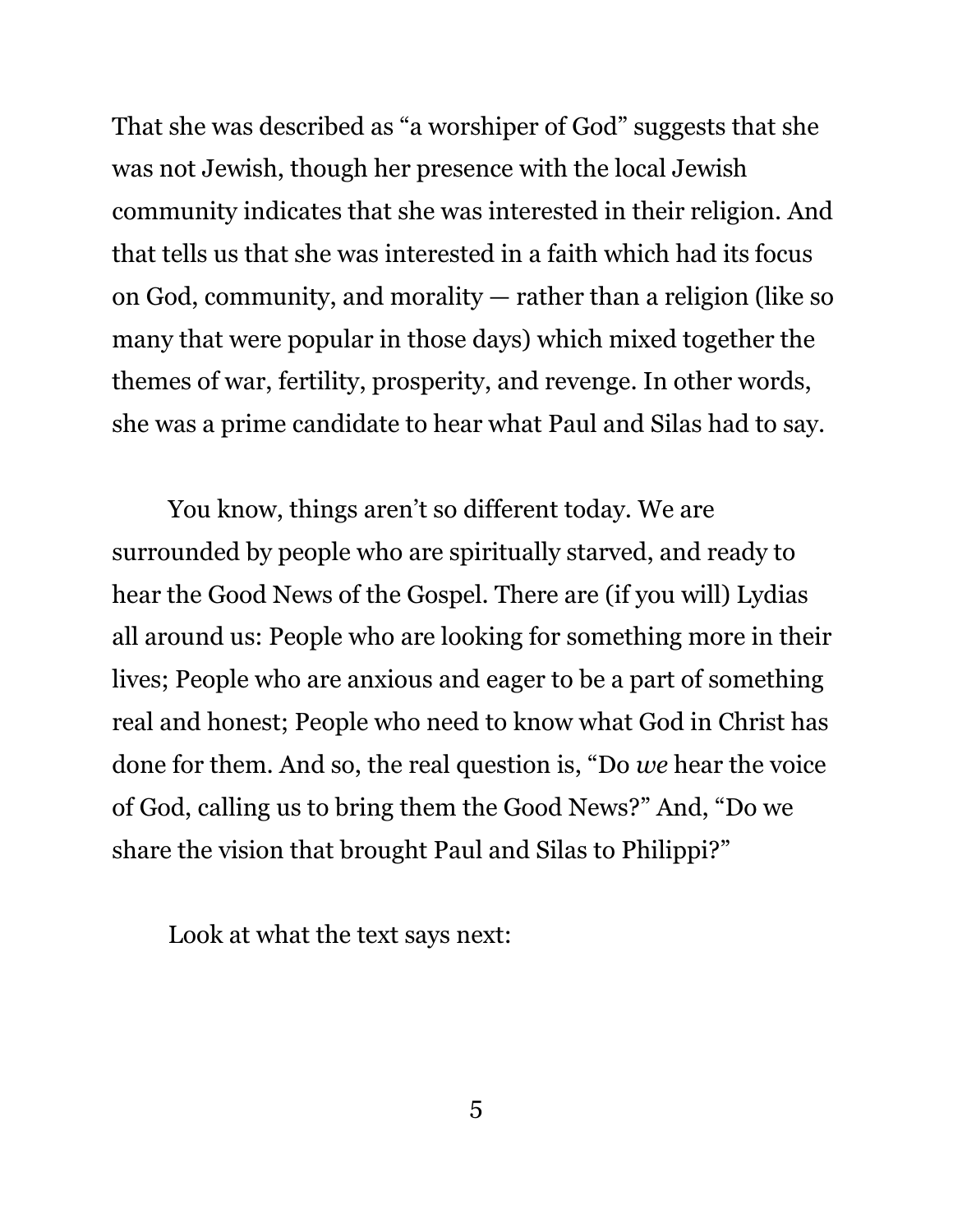That she was described as "a worshiper of God" suggests that she was not Jewish, though her presence with the local Jewish community indicates that she was interested in their religion. And that tells us that she was interested in a faith which had its focus on God, community, and morality — rather than a religion (like so many that were popular in those days) which mixed together the themes of war, fertility, prosperity, and revenge. In other words, she was a prime candidate to hear what Paul and Silas had to say.

You know, things aren't so different today. We are surrounded by people who are spiritually starved, and ready to hear the Good News of the Gospel. There are (if you will) Lydias all around us: People who are looking for something more in their lives; People who are anxious and eager to be a part of something real and honest; People who need to know what God in Christ has done for them. And so, the real question is, "Do *we* hear the voice of God, calling us to bring them the Good News?" And, "Do we share the vision that brought Paul and Silas to Philippi?"

Look at what the text says next: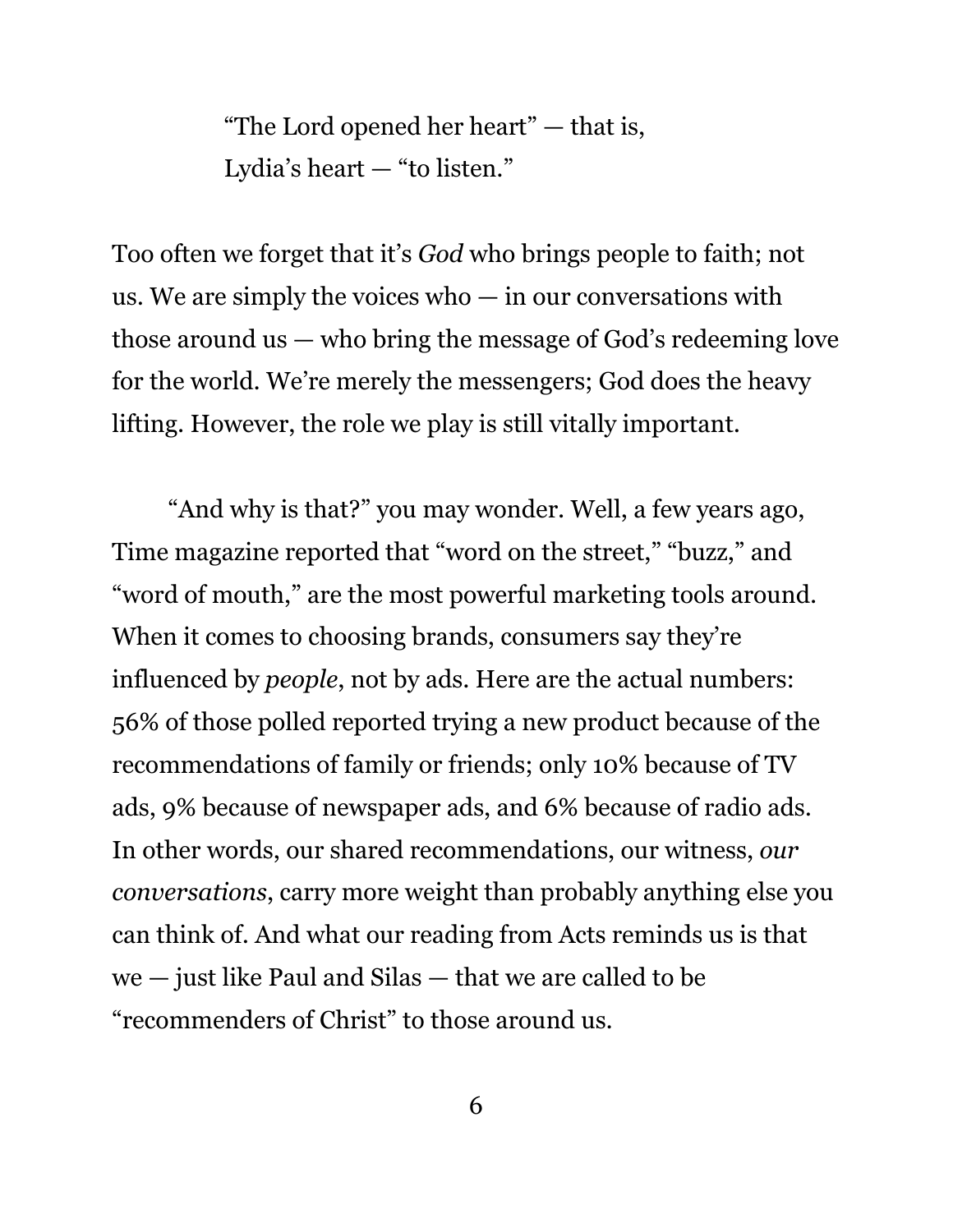"The Lord opened her heart" — that is, Lydia's heart — "to listen."

Too often we forget that it's *God* who brings people to faith; not us. We are simply the voices who — in our conversations with those around us  $-$  who bring the message of God's redeeming love for the world. We're merely the messengers; God does the heavy lifting. However, the role we play is still vitally important.

"And why is that?" you may wonder. Well, a few years ago, Time magazine reported that "word on the street," "buzz," and "word of mouth," are the most powerful marketing tools around. When it comes to choosing brands, consumers say they're influenced by *people*, not by ads. Here are the actual numbers: 56% of those polled reported trying a new product because of the recommendations of family or friends; only 10% because of TV ads, 9% because of newspaper ads, and 6% because of radio ads. In other words, our shared recommendations, our witness, *our conversations*, carry more weight than probably anything else you can think of. And what our reading from Acts reminds us is that we — just like Paul and Silas — that we are called to be "recommenders of Christ" to those around us.

6